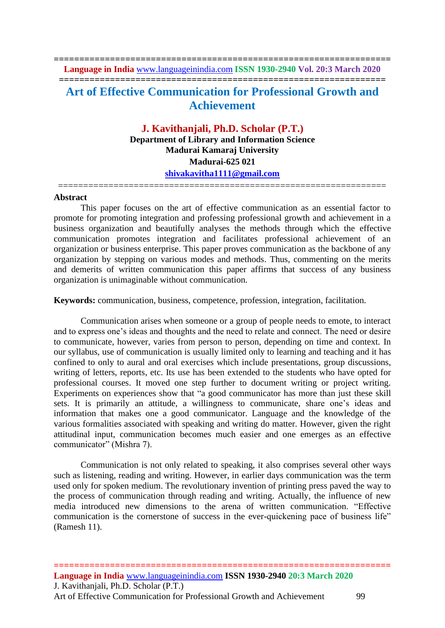**================================================================== Language in India** [www.languageinindia.com](http://www.languageinindia.com/) **ISSN 1930-2940 Vol. 20:3 March 2020 ================================================================ Art of Effective Communication for Professional Growth and Achievement**

> **J. Kavithanjali, Ph.D. Scholar (P.T.) Department of Library and Information Science Madurai Kamaraj University Madurai-625 021 [shivakavitha1111@gmail.com](mailto:shivakavitha1111@gmail.com)**

=================================================================

## **Abstract**

This paper focuses on the art of effective communication as an essential factor to promote for promoting integration and professing professional growth and achievement in a business organization and beautifully analyses the methods through which the effective communication promotes integration and facilitates professional achievement of an organization or business enterprise. This paper proves communication as the backbone of any organization by stepping on various modes and methods. Thus, commenting on the merits and demerits of written communication this paper affirms that success of any business organization is unimaginable without communication.

**Keywords:** communication, business, competence, profession, integration, facilitation.

Communication arises when someone or a group of people needs to emote, to interact and to express one's ideas and thoughts and the need to relate and connect. The need or desire to communicate, however, varies from person to person, depending on time and context. In our syllabus, use of communication is usually limited only to learning and teaching and it has confined to only to aural and oral exercises which include presentations, group discussions, writing of letters, reports, etc. Its use has been extended to the students who have opted for professional courses. It moved one step further to document writing or project writing. Experiments on experiences show that "a good communicator has more than just these skill sets. It is primarily an attitude, a willingness to communicate, share one's ideas and information that makes one a good communicator. Language and the knowledge of the various formalities associated with speaking and writing do matter. However, given the right attitudinal input, communication becomes much easier and one emerges as an effective communicator" (Mishra 7).

Communication is not only related to speaking, it also comprises several other ways such as listening, reading and writing. However, in earlier days communication was the term used only for spoken medium. The revolutionary invention of printing press paved the way to the process of communication through reading and writing. Actually, the influence of new media introduced new dimensions to the arena of written communication. "Effective communication is the cornerstone of success in the ever-quickening pace of business life" (Ramesh 11).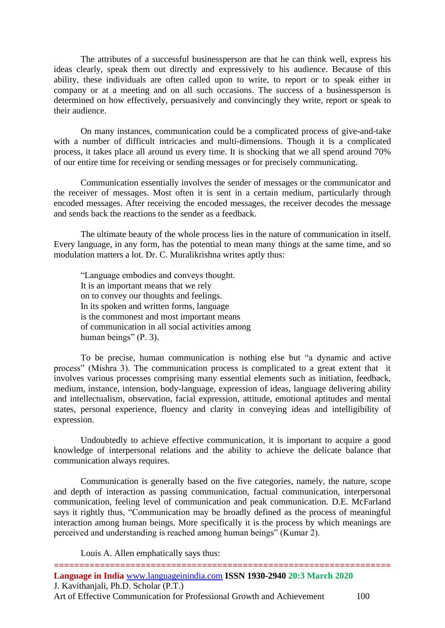The attributes of a successful businessperson are that he can think well, express his ideas clearly, speak them out directly and expressively to his audience. Because of this ability, these individuals are often called upon to write, to report or to speak either in company or at a meeting and on all such occasions. The success of a businessperson is determined on how effectively, persuasively and convincingly they write, report or speak to their audience.

On many instances, communication could be a complicated process of give-and-take with a number of difficult intricacies and multi-dimensions. Though it is a complicated process, it takes place all around us every time. It is shocking that we all spend around 70% of our entire time for receiving or sending messages or for precisely communicating.

Communication essentially involves the sender of messages or the communicator and the receiver of messages. Most often it is sent in a certain medium, particularly through encoded messages. After receiving the encoded messages, the receiver decodes the message and sends back the reactions to the sender as a feedback.

The ultimate beauty of the whole process lies in the nature of communication in itself. Every language, in any form, has the potential to mean many things at the same time, and so modulation matters a lot. Dr. C. Muralikrishna writes aptly thus:

"Language embodies and conveys thought. It is an important means that we rely on to convey our thoughts and feelings. In its spoken and written forms, language is the commonest and most important means of communication in all social activities among human beings" (P. 3).

To be precise, human communication is nothing else but "a dynamic and active process" (Mishra 3). The communication process is complicated to a great extent that it involves various processes comprising many essential elements such as initiation, feedback, medium, instance, intension, body-language, expression of ideas, language delivering ability and intellectualism, observation, facial expression, attitude, emotional aptitudes and mental states, personal experience, fluency and clarity in conveying ideas and intelligibility of expression.

Undoubtedly to achieve effective communication, it is important to acquire a good knowledge of interpersonal relations and the ability to achieve the delicate balance that communication always requires.

Communication is generally based on the five categories, namely, the nature, scope and depth of interaction as passing communication, factual communication, interpersonal communication, feeling level of communication and peak communication. D.E. McFarland says it rightly thus, "Communication may be broadly defined as the process of meaningful interaction among human beings. More specifically it is the process by which meanings are perceived and understanding is reached among human beings" (Kumar 2).

Louis A. Allen emphatically says thus: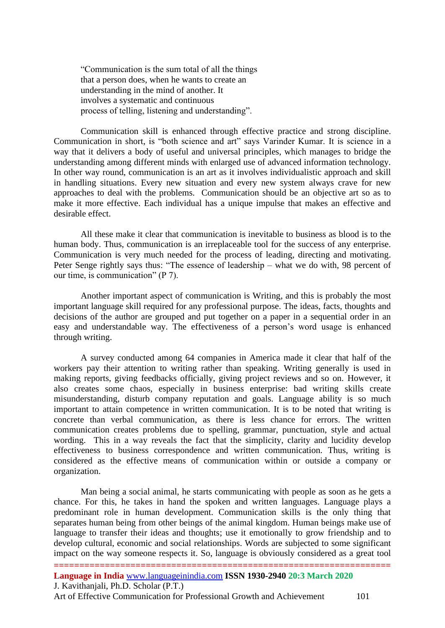"Communication is the sum total of all the things that a person does, when he wants to create an understanding in the mind of another. It involves a systematic and continuous process of telling, listening and understanding".

Communication skill is enhanced through effective practice and strong discipline. Communication in short, is "both science and art" says Varinder Kumar. It is science in a way that it delivers a body of useful and universal principles, which manages to bridge the understanding among different minds with enlarged use of advanced information technology. In other way round, communication is an art as it involves individualistic approach and skill in handling situations. Every new situation and every new system always crave for new approaches to deal with the problems. Communication should be an objective art so as to make it more effective. Each individual has a unique impulse that makes an effective and desirable effect.

All these make it clear that communication is inevitable to business as blood is to the human body. Thus, communication is an irreplaceable tool for the success of any enterprise. Communication is very much needed for the process of leading, directing and motivating. Peter Senge rightly says thus: "The essence of leadership – what we do with, 98 percent of our time, is communication" (P 7).

Another important aspect of communication is Writing, and this is probably the most important language skill required for any professional purpose. The ideas, facts, thoughts and decisions of the author are grouped and put together on a paper in a sequential order in an easy and understandable way. The effectiveness of a person's word usage is enhanced through writing.

A survey conducted among 64 companies in America made it clear that half of the workers pay their attention to writing rather than speaking. Writing generally is used in making reports, giving feedbacks officially, giving project reviews and so on. However, it also creates some chaos, especially in business enterprise: bad writing skills create misunderstanding, disturb company reputation and goals. Language ability is so much important to attain competence in written communication. It is to be noted that writing is concrete than verbal communication, as there is less chance for errors. The written communication creates problems due to spelling, grammar, punctuation, style and actual wording. This in a way reveals the fact that the simplicity, clarity and lucidity develop effectiveness to business correspondence and written communication. Thus, writing is considered as the effective means of communication within or outside a company or organization.

Man being a social animal, he starts communicating with people as soon as he gets a chance. For this, he takes in hand the spoken and written languages. Language plays a predominant role in human development. Communication skills is the only thing that separates human being from other beings of the animal kingdom. Human beings make use of language to transfer their ideas and thoughts; use it emotionally to grow friendship and to develop cultural, economic and social relationships. Words are subjected to some significant impact on the way someone respects it. So, language is obviously considered as a great tool

Art of Effective Communication for Professional Growth and Achievement 101

**<sup>==================================================================</sup> Language in India** [www.languageinindia.com](http://www.languageinindia.com/) **ISSN 1930-2940 20:3 March 2020** J. Kavithanjali, Ph.D. Scholar (P.T.)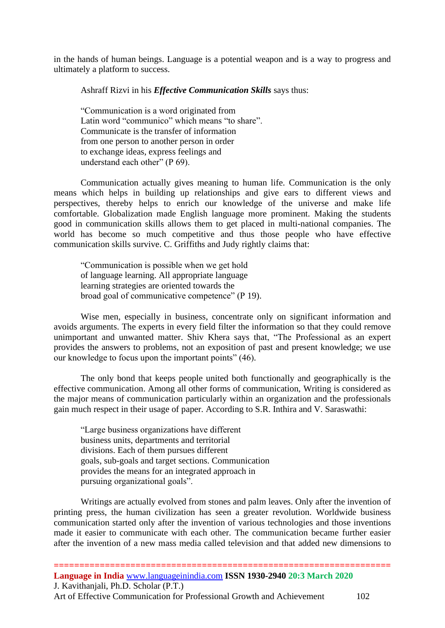in the hands of human beings. Language is a potential weapon and is a way to progress and ultimately a platform to success.

Ashraff Rizvi in his *Effective Communication Skills* says thus:

"Communication is a word originated from Latin word "communico" which means "to share". Communicate is the transfer of information from one person to another person in order to exchange ideas, express feelings and understand each other" (P 69).

Communication actually gives meaning to human life. Communication is the only means which helps in building up relationships and give ears to different views and perspectives, thereby helps to enrich our knowledge of the universe and make life comfortable. Globalization made English language more prominent. Making the students good in communication skills allows them to get placed in multi-national companies. The world has become so much competitive and thus those people who have effective communication skills survive. C. Griffiths and Judy rightly claims that:

"Communication is possible when we get hold of language learning. All appropriate language learning strategies are oriented towards the broad goal of communicative competence" (P 19).

Wise men, especially in business, concentrate only on significant information and avoids arguments. The experts in every field filter the information so that they could remove unimportant and unwanted matter. Shiv Khera says that, "The Professional as an expert provides the answers to problems, not an exposition of past and present knowledge; we use our knowledge to focus upon the important points" (46).

The only bond that keeps people united both functionally and geographically is the effective communication. Among all other forms of communication, Writing is considered as the major means of communication particularly within an organization and the professionals gain much respect in their usage of paper. According to S.R. Inthira and V. Saraswathi:

"Large business organizations have different business units, departments and territorial divisions. Each of them pursues different goals, sub-goals and target sections. Communication provides the means for an integrated approach in pursuing organizational goals".

Writings are actually evolved from stones and palm leaves. Only after the invention of printing press, the human civilization has seen a greater revolution. Worldwide business communication started only after the invention of various technologies and those inventions made it easier to communicate with each other. The communication became further easier after the invention of a new mass media called television and that added new dimensions to